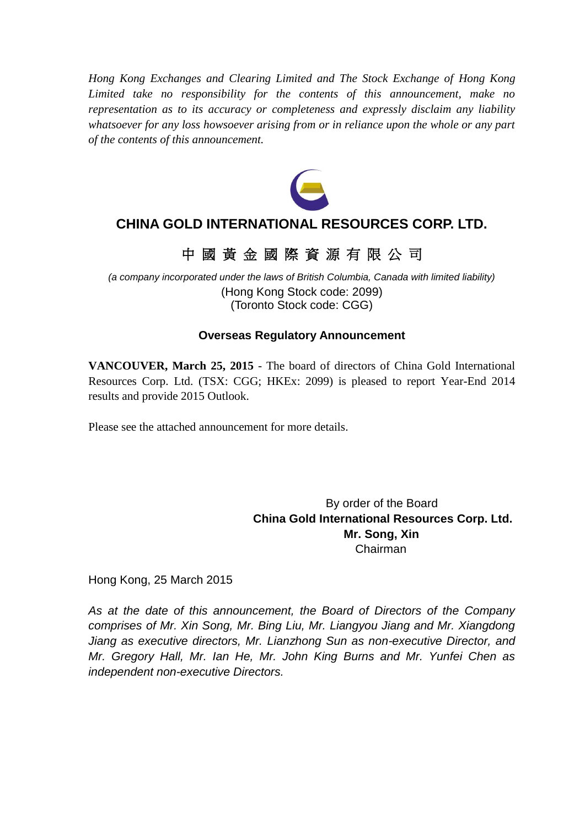*Hong Kong Exchanges and Clearing Limited and The Stock Exchange of Hong Kong Limited take no responsibility for the contents of this announcement, make no representation as to its accuracy or completeness and expressly disclaim any liability whatsoever for any loss howsoever arising from or in reliance upon the whole or any part of the contents of this announcement.*



## **CHINA GOLD INTERNATIONAL RESOURCES CORP. LTD.**

# 中 國 黃 金 國 際 資 源 有 限 公 司

*(a company incorporated under the laws of British Columbia, Canada with limited liability)* (Hong Kong Stock code: 2099) (Toronto Stock code: CGG)

## **Overseas Regulatory Announcement**

**VANCOUVER, March 25, 2015** - The board of directors of China Gold International Resources Corp. Ltd. (TSX: CGG; HKEx: 2099) is pleased to report Year-End 2014 results and provide 2015 Outlook.

Please see the attached announcement for more details.

By order of the Board **China Gold International Resources Corp. Ltd. Mr. Song, Xin** Chairman

Hong Kong, 25 March 2015

*As at the date of this announcement, the Board of Directors of the Company comprises of Mr. Xin Song, Mr. Bing Liu, Mr. Liangyou Jiang and Mr. Xiangdong Jiang as executive directors, Mr. Lianzhong Sun as non-executive Director, and Mr. Gregory Hall, Mr. Ian He, Mr. John King Burns and Mr. Yunfei Chen as independent non-executive Directors.*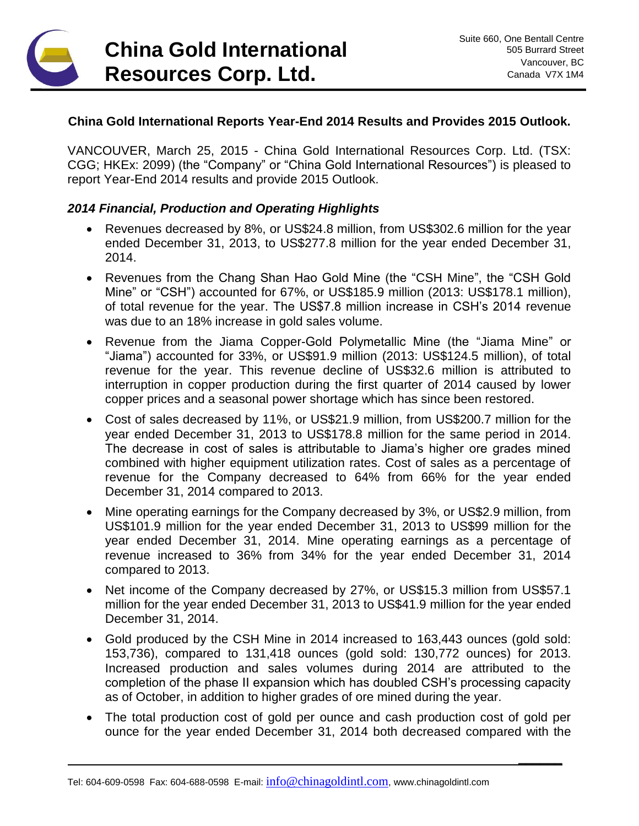# **China Gold International Resources Corp. Ltd.**

**\_\_\_\_\_\_**

## **China Gold International Reports Year-End 2014 Results and Provides 2015 Outlook.**

VANCOUVER, March 25, 2015 - China Gold International Resources Corp. Ltd. (TSX: CGG; HKEx: 2099) (the "Company" or "China Gold International Resources") is pleased to report Year-End 2014 results and provide 2015 Outlook.

#### *2014 Financial, Production and Operating Highlights*

- Revenues decreased by 8%, or US\$24.8 million, from US\$302.6 million for the year ended December 31, 2013, to US\$277.8 million for the year ended December 31, 2014.
- Revenues from the Chang Shan Hao Gold Mine (the "CSH Mine", the "CSH Gold Mine" or "CSH") accounted for 67%, or US\$185.9 million (2013: US\$178.1 million), of total revenue for the year. The US\$7.8 million increase in CSH's 2014 revenue was due to an 18% increase in gold sales volume.
- Revenue from the Jiama Copper-Gold Polymetallic Mine (the "Jiama Mine" or "Jiama") accounted for 33%, or US\$91.9 million (2013: US\$124.5 million), of total revenue for the year. This revenue decline of US\$32.6 million is attributed to interruption in copper production during the first quarter of 2014 caused by lower copper prices and a seasonal power shortage which has since been restored.
- Cost of sales decreased by 11%, or US\$21.9 million, from US\$200.7 million for the year ended December 31, 2013 to US\$178.8 million for the same period in 2014. The decrease in cost of sales is attributable to Jiama's higher ore grades mined combined with higher equipment utilization rates. Cost of sales as a percentage of revenue for the Company decreased to 64% from 66% for the year ended December 31, 2014 compared to 2013.
- Mine operating earnings for the Company decreased by 3%, or US\$2.9 million, from US\$101.9 million for the year ended December 31, 2013 to US\$99 million for the year ended December 31, 2014. Mine operating earnings as a percentage of revenue increased to 36% from 34% for the year ended December 31, 2014 compared to 2013.
- Net income of the Company decreased by 27%, or US\$15.3 million from US\$57.1 million for the year ended December 31, 2013 to US\$41.9 million for the year ended December 31, 2014.
- Gold produced by the CSH Mine in 2014 increased to 163,443 ounces (gold sold: 153,736), compared to 131,418 ounces (gold sold: 130,772 ounces) for 2013. Increased production and sales volumes during 2014 are attributed to the completion of the phase II expansion which has doubled CSH's processing capacity as of October, in addition to higher grades of ore mined during the year.
- The total production cost of gold per ounce and cash production cost of gold per ounce for the year ended December 31, 2014 both decreased compared with the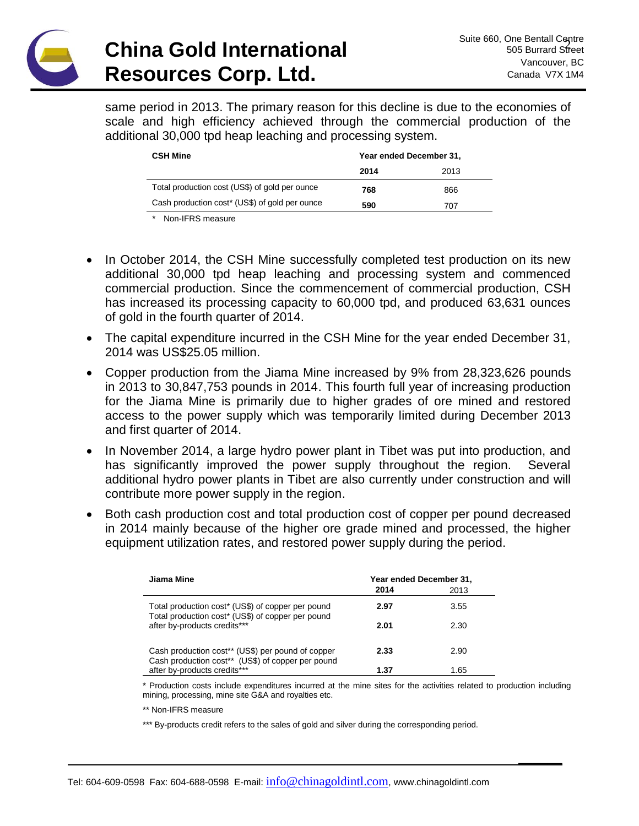

**\_\_\_\_\_\_**

same period in 2013. The primary reason for this decline is due to the economies of scale and high efficiency achieved through the commercial production of the additional 30,000 tpd heap leaching and processing system.

| <b>CSH Mine</b>                                | Year ended December 31, |      |
|------------------------------------------------|-------------------------|------|
|                                                | 2014                    | 2013 |
| Total production cost (US\$) of gold per ounce | 768                     | 866  |
| Cash production cost* (US\$) of gold per ounce | 590                     | 707  |
|                                                |                         |      |

*\** Non-IFRS measure

- In October 2014, the CSH Mine successfully completed test production on its new additional 30,000 tpd heap leaching and processing system and commenced commercial production. Since the commencement of commercial production, CSH has increased its processing capacity to 60,000 tpd, and produced 63,631 ounces of gold in the fourth quarter of 2014.
- The capital expenditure incurred in the CSH Mine for the year ended December 31, 2014 was US\$25.05 million.
- Copper production from the Jiama Mine increased by 9% from 28,323,626 pounds in 2013 to 30,847,753 pounds in 2014. This fourth full year of increasing production for the Jiama Mine is primarily due to higher grades of ore mined and restored access to the power supply which was temporarily limited during December 2013 and first quarter of 2014.
- In November 2014, a large hydro power plant in Tibet was put into production, and has significantly improved the power supply throughout the region. Several additional hydro power plants in Tibet are also currently under construction and will contribute more power supply in the region.
- Both cash production cost and total production cost of copper per pound decreased in 2014 mainly because of the higher ore grade mined and processed, the higher equipment utilization rates, and restored power supply during the period.

| Jiama Mine                                                                                             | Year ended December 31, |      |
|--------------------------------------------------------------------------------------------------------|-------------------------|------|
|                                                                                                        | 2014                    | 2013 |
| Total production cost* (US\$) of copper per pound<br>Total production cost* (US\$) of copper per pound | 2.97                    | 3.55 |
| after by-products credits***                                                                           | 2.01                    | 2.30 |
| Cash production cost** (US\$) per pound of copper<br>Cash production cost** (US\$) of copper per pound | 2.33                    | 2.90 |
| after by-products credits***                                                                           | 1.37                    | 1.65 |

\* Production costs include expenditures incurred at the mine sites for the activities related to production including mining, processing, mine site G&A and royalties etc.

\*\* Non-IFRS measure

\*\*\* By-products credit refers to the sales of gold and silver during the corresponding period.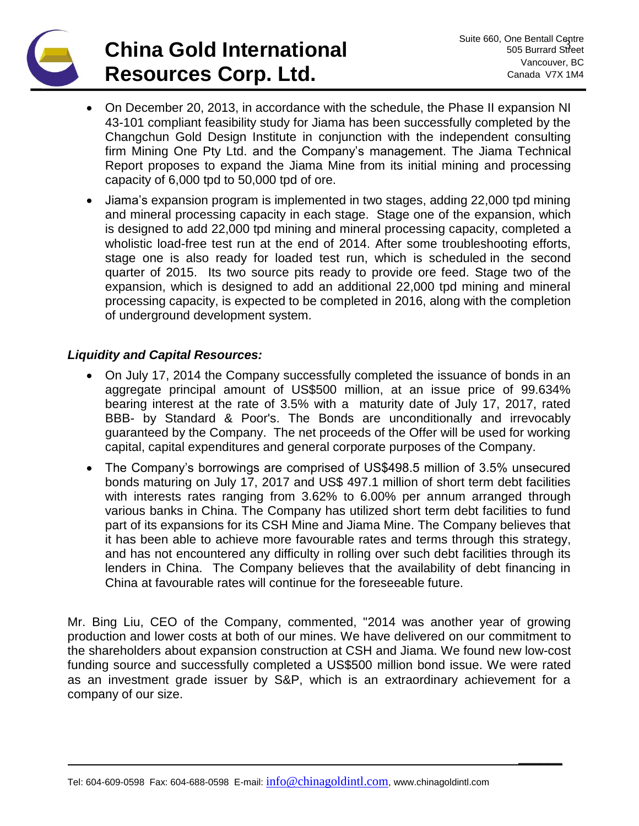# **China Gold International Resources Corp. Ltd.**

**\_\_\_\_\_\_**

- On December 20, 2013, in accordance with the schedule, the Phase II expansion NI 43-101 compliant feasibility study for Jiama has been successfully completed by the Changchun Gold Design Institute in conjunction with the independent consulting firm Mining One Pty Ltd. and the Company's management. The Jiama Technical Report proposes to expand the Jiama Mine from its initial mining and processing capacity of 6,000 tpd to 50,000 tpd of ore.
- Jiama's expansion program is implemented in two stages, adding 22,000 tpd mining and mineral processing capacity in each stage. Stage one of the expansion, which is designed to add 22,000 tpd mining and mineral processing capacity, completed a wholistic load-free test run at the end of 2014. After some troubleshooting efforts, stage one is also ready for loaded test run, which is scheduled in the second quarter of 2015. Its two source pits ready to provide ore feed. Stage two of the expansion, which is designed to add an additional 22,000 tpd mining and mineral processing capacity, is expected to be completed in 2016, along with the completion of underground development system.

## *Liquidity and Capital Resources:*

- On July 17, 2014 the Company successfully completed the issuance of bonds in an aggregate principal amount of US\$500 million, at an issue price of 99.634% bearing interest at the rate of 3.5% with a maturity date of July 17, 2017, rated BBB- by Standard & Poor's. The Bonds are unconditionally and irrevocably guaranteed by the Company. The net proceeds of the Offer will be used for working capital, capital expenditures and general corporate purposes of the Company.
- The Company's borrowings are comprised of US\$498.5 million of 3.5% unsecured bonds maturing on July 17, 2017 and US\$ 497.1 million of short term debt facilities with interests rates ranging from 3.62% to 6.00% per annum arranged through various banks in China. The Company has utilized short term debt facilities to fund part of its expansions for its CSH Mine and Jiama Mine. The Company believes that it has been able to achieve more favourable rates and terms through this strategy, and has not encountered any difficulty in rolling over such debt facilities through its lenders in China. The Company believes that the availability of debt financing in China at favourable rates will continue for the foreseeable future.

Mr. Bing Liu, CEO of the Company, commented, "2014 was another year of growing production and lower costs at both of our mines. We have delivered on our commitment to the shareholders about expansion construction at CSH and Jiama. We found new low-cost funding source and successfully completed a US\$500 million bond issue. We were rated as an investment grade issuer by S&P, which is an extraordinary achievement for a company of our size.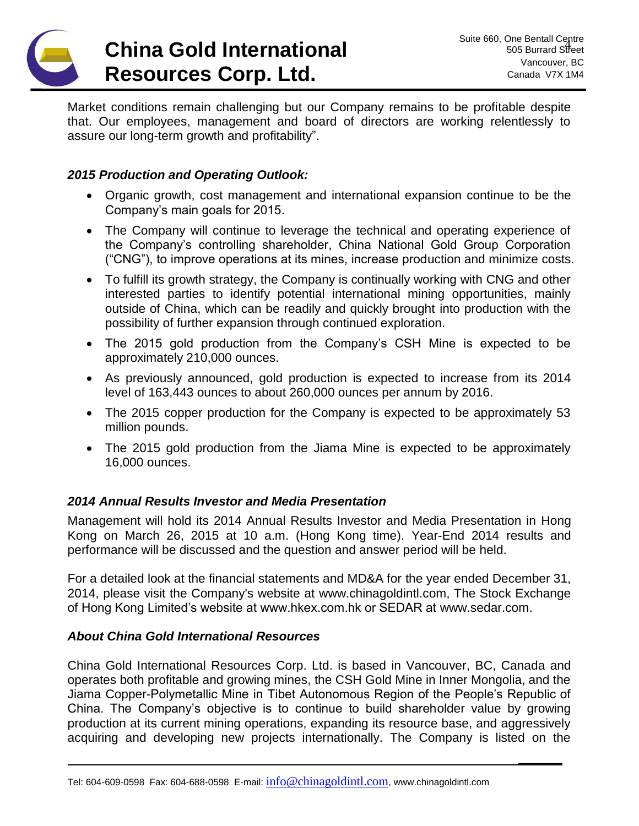

**\_\_\_\_\_\_**

Market conditions remain challenging but our Company remains to be profitable despite that. Our employees, management and board of directors are working relentlessly to assure our long-term growth and profitability".

### *2015 Production and Operating Outlook:*

- Organic growth, cost management and international expansion continue to be the Company's main goals for 2015.
- The Company will continue to leverage the technical and operating experience of the Company's controlling shareholder, China National Gold Group Corporation ("CNG"), to improve operations at its mines, increase production and minimize costs.
- To fulfill its growth strategy, the Company is continually working with CNG and other interested parties to identify potential international mining opportunities, mainly outside of China, which can be readily and quickly brought into production with the possibility of further expansion through continued exploration.
- The 2015 gold production from the Company's CSH Mine is expected to be approximately 210,000 ounces.
- As previously announced, gold production is expected to increase from its 2014 level of 163,443 ounces to about 260,000 ounces per annum by 2016.
- The 2015 copper production for the Company is expected to be approximately 53 million pounds.
- The 2015 gold production from the Jiama Mine is expected to be approximately 16,000 ounces.

#### *2014 Annual Results Investor and Media Presentation*

Management will hold its 2014 Annual Results Investor and Media Presentation in Hong Kong on March 26, 2015 at 10 a.m. (Hong Kong time). Year-End 2014 results and performance will be discussed and the question and answer period will be held.

For a detailed look at the financial statements and MD&A for the year ended December 31, 2014, please visit the Company's website at [www.chinagoldintl.com,](http://www.chinagoldintl.com/) The Stock Exchange of Hong Kong Limited's website at www.hkex.com.hk or SEDAR at [www.sedar.com.](http://www.sedar.com/)

#### *About China Gold International Resources*

China Gold International Resources Corp. Ltd. is based in Vancouver, BC, Canada and operates both profitable and growing mines, the CSH Gold Mine in Inner Mongolia, and the Jiama Copper-Polymetallic Mine in Tibet Autonomous Region of the People's Republic of China. The Company's objective is to continue to build shareholder value by growing production at its current mining operations, expanding its resource base, and aggressively acquiring and developing new projects internationally. The Company is listed on the